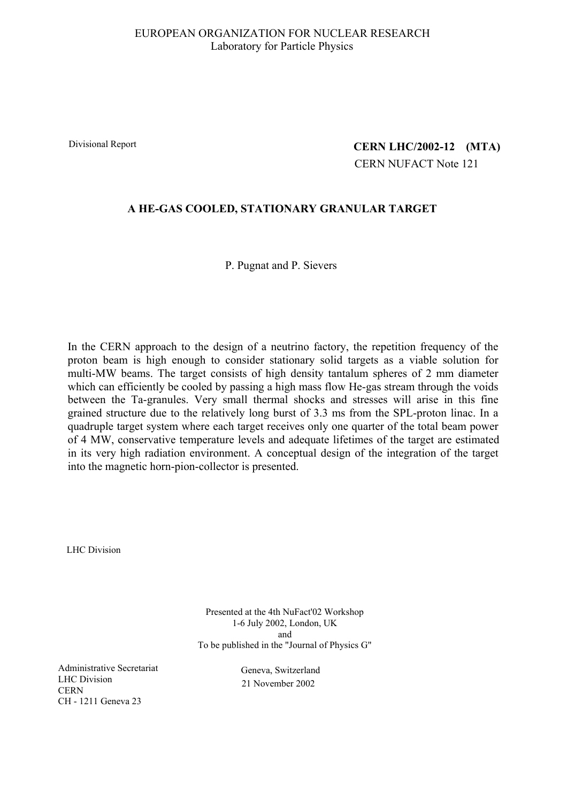### EUROPEAN ORGANIZATION FOR NUCLEAR RESEARCH Laboratory for Particle Physics

Divisional Report

# **(MTA) CERN LHC/2002-12** CERN NUFACT Note 121

## **A HE-GAS COOLED, STATIONARY GRANULAR TARGET**

P. Pugnat and P. Sievers

In the CERN approach to the design of a neutrino factory, the repetition frequency of the proton beam is high enough to consider stationary solid targets as a viable solution for multi-MW beams. The target consists of high density tantalum spheres of 2 mm diameter which can efficiently be cooled by passing a high mass flow He-gas stream through the voids between the Ta-granules. Very small thermal shocks and stresses will arise in this fine grained structure due to the relatively long burst of 3.3 ms from the SPL-proton linac. In a quadruple target system where each target receives only one quarter of the total beam power of 4 MW, conservative temperature levels and adequate lifetimes of the target are estimated in its very high radiation environment. A conceptual design of the integration of the target into the magnetic horn-pion-collector is presented.

LHC Division

Presented at the 4th NuFact'02 Workshop 1-6 July 2002, London, UK and To be published in the "Journal of Physics G"

Administrative Secretariat LHC Division **CERN** CH - 1211 Geneva 23

Geneva, Switzerland 21 November 2002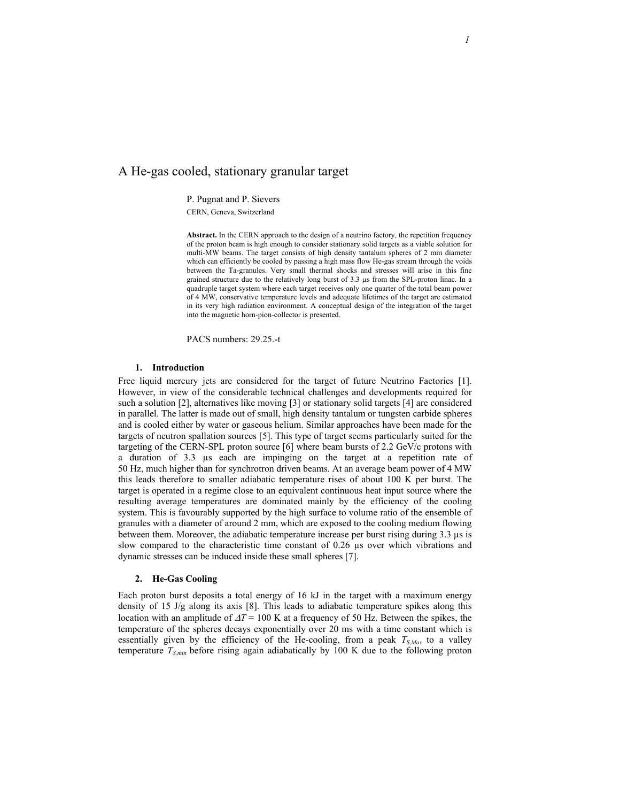### A He-gas cooled, stationary granular target

P. Pugnat and P. Sievers

CERN, Geneva, Switzerland

**Abstract.** In the CERN approach to the design of a neutrino factory, the repetition frequency of the proton beam is high enough to consider stationary solid targets as a viable solution for multi-MW beams. The target consists of high density tantalum spheres of 2 mm diameter which can efficiently be cooled by passing a high mass flow He-gas stream through the voids between the Ta-granules. Very small thermal shocks and stresses will arise in this fine grained structure due to the relatively long burst of 3.3 µs from the SPL-proton linac. In a quadruple target system where each target receives only one quarter of the total beam power of 4 MW, conservative temperature levels and adequate lifetimes of the target are estimated in its very high radiation environment. A conceptual design of the integration of the target into the magnetic horn-pion-collector is presented.

PACS numbers: 29.25.-t

#### **1. Introduction**

Free liquid mercury jets are considered for the target of future Neutrino Factories [1]. However, in view of the considerable technical challenges and developments required for such a solution [2], alternatives like moving [3] or stationary solid targets [4] are considered in parallel. The latter is made out of small, high density tantalum or tungsten carbide spheres and is cooled either by water or gaseous helium. Similar approaches have been made for the targets of neutron spallation sources [5]. This type of target seems particularly suited for the targeting of the CERN-SPL proton source [6] where beam bursts of 2.2 GeV/c protons with a duration of 3.3 µs each are impinging on the target at a repetition rate of 50 Hz, much higher than for synchrotron driven beams. At an average beam power of 4 MW this leads therefore to smaller adiabatic temperature rises of about 100 K per burst. The target is operated in a regime close to an equivalent continuous heat input source where the resulting average temperatures are dominated mainly by the efficiency of the cooling system. This is favourably supported by the high surface to volume ratio of the ensemble of granules with a diameter of around 2 mm, which are exposed to the cooling medium flowing between them. Moreover, the adiabatic temperature increase per burst rising during 3.3 µs is slow compared to the characteristic time constant of 0.26 µs over which vibrations and dynamic stresses can be induced inside these small spheres [7].

#### **2. He-Gas Cooling**

Each proton burst deposits a total energy of 16 kJ in the target with a maximum energy density of 15 J/g along its axis [8]. This leads to adiabatic temperature spikes along this location with an amplitude of ∆*T* = 100 K at a frequency of 50 Hz. Between the spikes, the temperature of the spheres decays exponentially over 20 ms with a time constant which is essentially given by the efficiency of the He-cooling, from a peak  $T_{S,Max}$  to a valley temperature  $T_{S,min}$  before rising again adiabatically by 100 K due to the following proton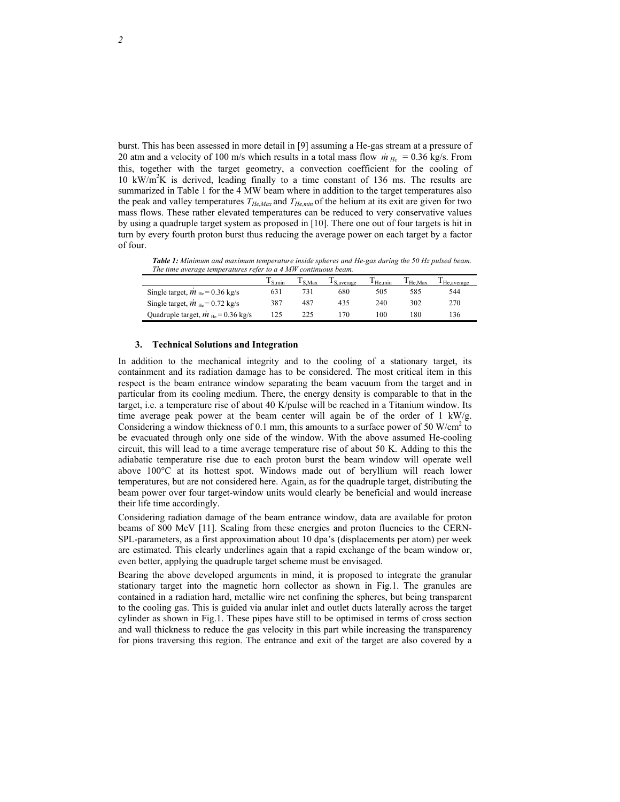burst. This has been assessed in more detail in [9] assuming a He-gas stream at a pressure of 20 atm and a velocity of 100 m/s which results in a total mass flow  $\dot{m}_{He} = 0.36$  kg/s. From this, together with the target geometry, a convection coefficient for the cooling of 10 kW/m2 K is derived, leading finally to a time constant of 136 ms. The results are summarized in Table 1 for the 4 MW beam where in addition to the target temperatures also the peak and valley temperatures *THe,Max* and *THe,min* of the helium at its exit are given for two mass flows. These rather elevated temperatures can be reduced to very conservative values by using a quadruple target system as proposed in [10]. There one out of four targets is hit in turn by every fourth proton burst thus reducing the average power on each target by a factor of four.

*Table 1: Minimum and maximum temperature inside spheres and He-gas during the 50 Hz pulsed beam. The time average temperatures refer to a 4 MW continuous beam.*

|                                                     | $1 S_{.}$ min | $\frac{1}{2}$ S.Max | <sup>1</sup> S. average | $\frac{1}{2}$ He.min | $\mathbf{I}$ He.Max | <sup>1</sup> He average |  |
|-----------------------------------------------------|---------------|---------------------|-------------------------|----------------------|---------------------|-------------------------|--|
| Single target, $\dot{m}_{\text{He}}$ = 0.36 kg/s    | 631           |                     | 680                     | 505                  | 585                 | 544                     |  |
| Single target, $\dot{m}_{\text{He}}$ = 0.72 kg/s    | 387           | 487                 | 435                     | 240                  | 302                 | 270                     |  |
| Quadruple target, $\dot{m}_{\text{He}}$ = 0.36 kg/s | 125           |                     | 70                      | 100                  | 80                  | 136                     |  |

#### **3. Technical Solutions and Integration**

In addition to the mechanical integrity and to the cooling of a stationary target, its containment and its radiation damage has to be considered. The most critical item in this respect is the beam entrance window separating the beam vacuum from the target and in particular from its cooling medium. There, the energy density is comparable to that in the target, i.e. a temperature rise of about 40 K/pulse will be reached in a Titanium window. Its time average peak power at the beam center will again be of the order of 1 kW/g. Considering a window thickness of 0.1 mm, this amounts to a surface power of 50 W/cm<sup>2</sup> to be evacuated through only one side of the window. With the above assumed He-cooling circuit, this will lead to a time average temperature rise of about 50 K. Adding to this the adiabatic temperature rise due to each proton burst the beam window will operate well above 100°C at its hottest spot. Windows made out of beryllium will reach lower temperatures, but are not considered here. Again, as for the quadruple target, distributing the beam power over four target-window units would clearly be beneficial and would increase their life time accordingly.

Considering radiation damage of the beam entrance window, data are available for proton beams of 800 MeV [11]. Scaling from these energies and proton fluencies to the CERN-SPL-parameters, as a first approximation about 10 dpa's (displacements per atom) per week are estimated. This clearly underlines again that a rapid exchange of the beam window or, even better, applying the quadruple target scheme must be envisaged.

Bearing the above developed arguments in mind, it is proposed to integrate the granular stationary target into the magnetic horn collector as shown in Fig.1. The granules are contained in a radiation hard, metallic wire net confining the spheres, but being transparent to the cooling gas. This is guided via anular inlet and outlet ducts laterally across the target cylinder as shown in Fig.1. These pipes have still to be optimised in terms of cross section and wall thickness to reduce the gas velocity in this part while increasing the transparency for pions traversing this region. The entrance and exit of the target are also covered by a